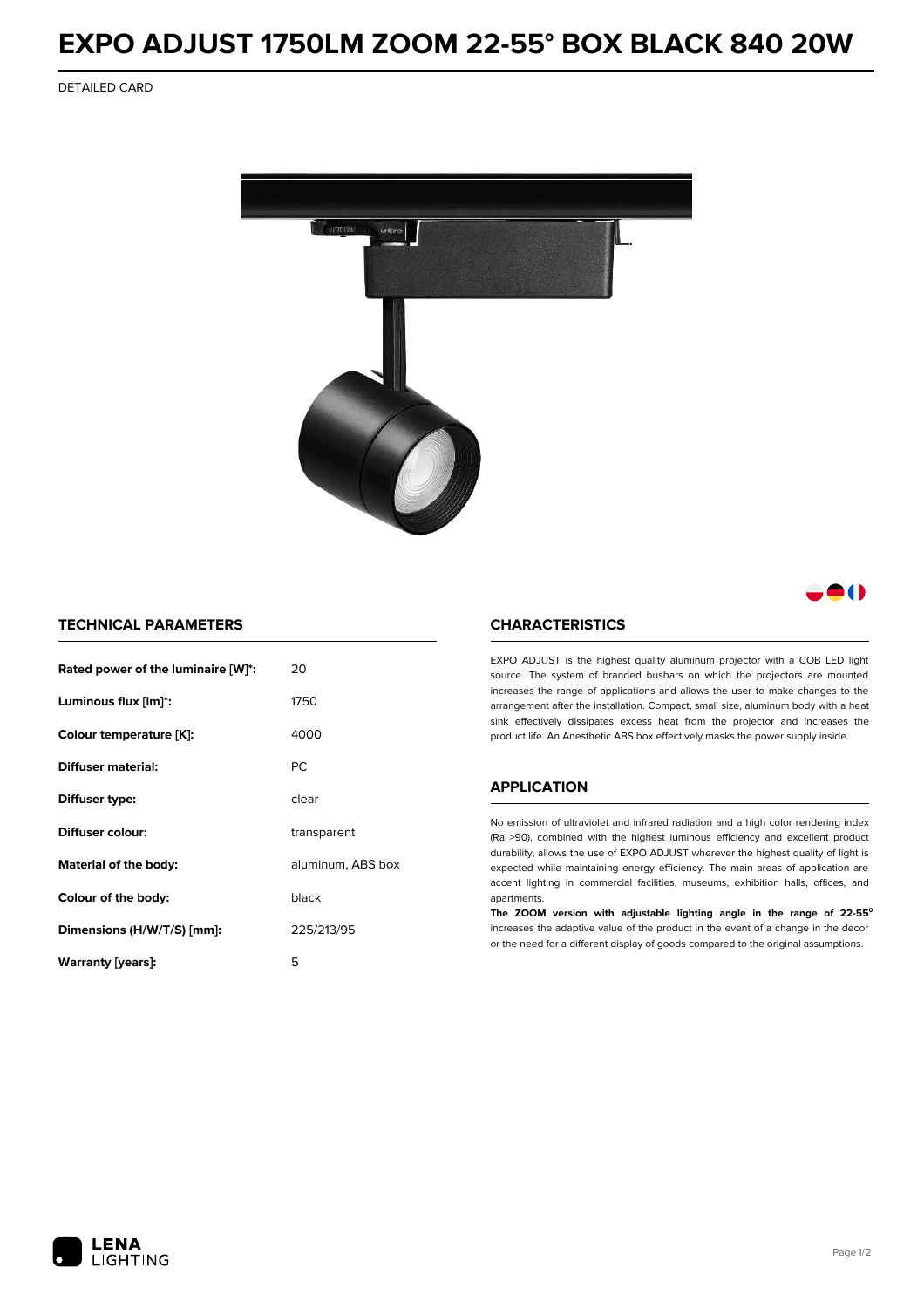# **EXPO ADJUST 1750LM ZOOM 22-55° BOX BLACK 840 20W**

DETAILED CARD



## 80

### **TECHNICAL PARAMETERS**

| Rated power of the luminaire [W]*:         | 20          |  |
|--------------------------------------------|-------------|--|
| Luminous flux [lm]*:                       | 1750        |  |
| Colour temperature [K]:                    | 4000        |  |
| Diffuser material:                         | <b>PC</b>   |  |
| Diffuser type:                             | clear       |  |
| Diffuser colour:                           | transparent |  |
| aluminum, ABS box<br>Material of the body: |             |  |
| Colour of the body:                        | black       |  |
| Dimensions (H/W/T/S) [mm]:                 | 225/213/95  |  |
| Warranty [years]:                          | 5           |  |

#### **CHARACTERISTICS**

EXPO ADJUST is the highest quality aluminum projector with a COB LED light source. The system of branded busbars on which the projectors are mounted increases the range of applications and allows the user to make changes to the arrangement after the installation. Compact, small size, aluminum body with a heat sink effectively dissipates excess heat from the projector and increases the product life. An Anesthetic ABS box effectively masks the power supply inside.

### **APPLICATION**

No emission of ultraviolet and infrared radiation and a high color rendering index (Ra >90), combined with the highest luminous efficiency and excellent product durability, allows the use of EXPO ADJUST wherever the highest quality of light is expected while maintaining energy efficiency. The main areas of application are accent lighting in commercial facilities, museums, exhibition halls, offices, and apartments.

**The ZOOM version with adjustable lighting angle in the range of 22-55⁰** increases the adaptive value of the product in the event of a change in the decor or the need for a different display of goods compared to the original assumptions.